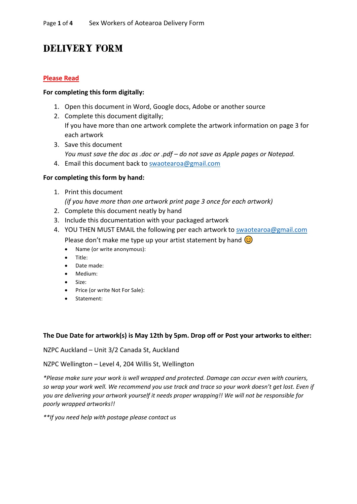# DELIVERY FORM

### **Please Read**

#### **For completing this form digitally:**

- 1. Open this document in Word, Google docs, Adobe or another source
- 2. Complete this document digitally; If you have more than one artwork complete the artwork information on page 3 for each artwork
- 3. Save this document *You must save the doc as .doc or .pdf – do not save as Apple pages or Notepad.*
- 4. Email this document back to [swaotearoa@gmail.com](mailto:swaotearoa@gmail.com)

#### **For completing this form by hand:**

1. Print this document

*(if you have more than one artwork print page 3 once for each artwork)*

- 2. Complete this document neatly by hand
- 3. Include this documentation with your packaged artwork
- 4. YOU THEN MUST EMAIL the following per each artwork to [swaotearoa@gmail.com](mailto:swaotearoa@gmail.com)
	- Please don't make me type up your artist statement by hand  $\odot$ 
		- Name (or write anonymous):
		- Title:
		- Date made:
		- Medium:
		- Size:
		- Price (or write Not For Sale):
		- Statement:

#### **The Due Date for artwork(s) is May 12th by 5pm. Drop off or Post your artworks to either:**

NZPC Auckland – Unit 3/2 Canada St, Auckland

NZPC Wellington – Level 4, 204 Willis St, Wellington

*\*Please make sure your work is well wrapped and protected. Damage can occur even with couriers, so wrap your work well. We recommend you use track and trace so your work doesn't get lost. Even if you are delivering your artwork yourself it needs proper wrapping!! We will not be responsible for poorly wrapped artworks!!*

*\*\*If you need help with postage please contact us*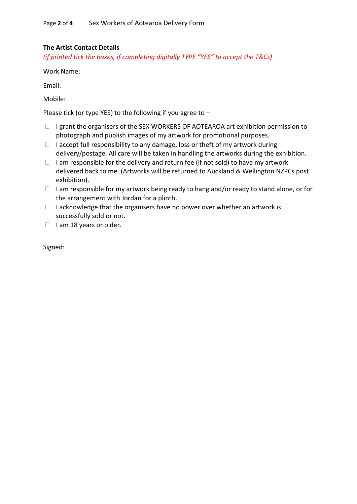## **The Artist Contact Details**

*(if printed tick the boxes, if completing digitally TYPE "YES" to accept the T&Cs)*

Work Name:

Email:

Mobile:

Please tick (or type YES) to the following if you agree to –

- $\Box$  I grant the organisers of the SEX WORKERS OF AOTEAROA art exhibition permission to photograph and publish images of my artwork for promotional purposes.
- $\Box$  I accept full responsibility to any damage, loss or theft of my artwork during delivery/postage. All care will be taken in handling the artworks during the exhibition.
- $\Box$  I am responsible for the delivery and return fee (if not sold) to have my artwork delivered back to me. (Artworks will be returned to Auckland & Wellington NZPCs post exhibition).
- $\Box$  I am responsible for my artwork being ready to hang and/or ready to stand alone, or for the arrangement with Jordan for a plinth.
- $\Box$  I acknowledge that the organisers have no power over whether an artwork is successfully sold or not.
- $\Box$  I am 18 years or older.

Signed: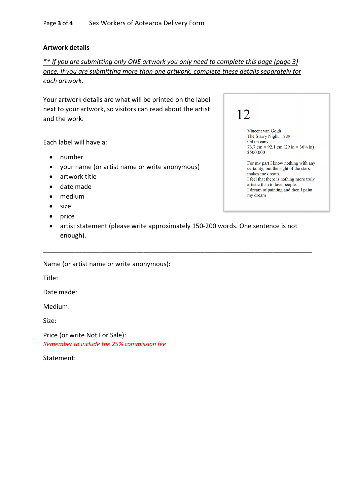#### **Artwork details**

*\*\* If you are submitting only ONE artwork you only need to complete this page (page 3) once. If you are submitting more than one artwork, complete these details separately for each artwork.*

Your artwork details are what will be printed on the label next to your artwork, so visitors can read about the artist and the work.

Each label will have a:

- number
- your name (or artist name or write anonymous)
- artwork title
- date made
- medium
- size
- price
- artist statement (please write approximately 150-200 words. One sentence is not enough).

\_\_\_\_\_\_\_\_\_\_\_\_\_\_\_\_\_\_\_\_\_\_\_\_\_\_\_\_\_\_\_\_\_\_\_\_\_\_\_\_\_\_\_\_\_\_\_\_\_\_\_\_\_\_\_\_\_\_\_\_\_\_\_\_\_\_\_\_\_\_\_\_\_\_\_

Name (or artist name or write anonymous):

Title:

Date made:

Medium:

Size:

Price (or write Not For Sale): *Remember to include the 25% commission fee*

Statement:

| 12                                                                                              |
|-------------------------------------------------------------------------------------------------|
| Vincent van Gogh<br>The Starry Night, 1889                                                      |
| Oil on canvas                                                                                   |
| 73.7 cm $\times$ 92.1 cm (29 in $\times$ 36 <sup>1</sup> / <sub>4</sub> in)                     |
| \$500,000                                                                                       |
| For my part I know nothing with any<br>certainty, but the sight of the stars<br>makes me dream. |
| I feel that there is nothing more truly                                                         |
| artistic than to love people.                                                                   |
| I dream of painting and then I paint                                                            |
| my dream                                                                                        |